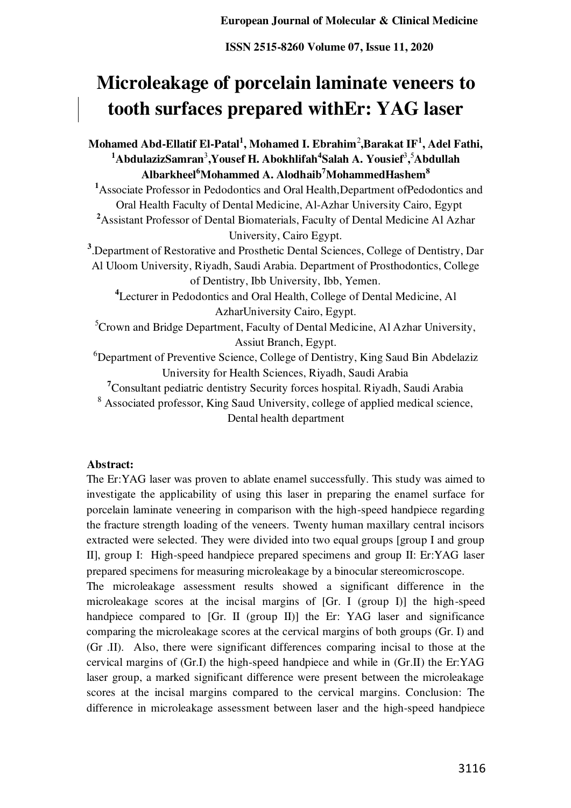# **Microleakage of porcelain laminate veneers to tooth surfaces prepared withEr: YAG laser**

**Mohamed Abd-Ellatif El-Patal<sup>1</sup> , Mohamed I. Ebrahim**<sup>2</sup> **,Barakat IF<sup>1</sup> , Adel Fathi, <sup>1</sup>AbdulazizSamran**<sup>3</sup> **,Yousef H. Abokhlifah<sup>4</sup> Salah A. Yousief**<sup>3</sup> **,** <sup>5</sup>**Abdullah Albarkheel<sup>6</sup>Mohammed A. Alodhaib<sup>7</sup>MohammedHashem<sup>8</sup> <sup>1</sup>**Associate Professor in Pedodontics and Oral Health,Department ofPedodontics and Oral Health Faculty of Dental Medicine, Al-Azhar University Cairo, Egypt **<sup>2</sup>**Assistant Professor of Dental Biomaterials, Faculty of Dental Medicine Al Azhar University, Cairo Egypt. **3** .Department of Restorative and Prosthetic Dental Sciences, College of Dentistry, Dar Al Uloom University, Riyadh, Saudi Arabia. Department of Prosthodontics, College of Dentistry, Ibb University, Ibb, Yemen. **<sup>4</sup>**Lecturer in Pedodontics and Oral Health, College of Dental Medicine, Al AzharUniversity Cairo, Egypt. <sup>5</sup>Crown and Bridge Department, Faculty of Dental Medicine, Al Azhar University, Assiut Branch, Egypt. <sup>6</sup>Department of Preventive Science, College of Dentistry, King Saud Bin Abdelaziz University for Health Sciences, Riyadh, Saudi Arabia **<sup>7</sup>**Consultant pediatric dentistry Security forces hospital. Riyadh, Saudi Arabia <sup>8</sup> Associated professor, King Saud University, college of applied medical science, Dental health department

#### **Abstract:**

The Er:YAG laser was proven to ablate enamel successfully. This study was aimed to investigate the applicability of using this laser in preparing the enamel surface for porcelain laminate veneering in comparison with the high-speed handpiece regarding the fracture strength loading of the veneers. Twenty human maxillary central incisors extracted were selected. They were divided into two equal groups [group I and group II], group I: High-speed handpiece prepared specimens and group II: Er:YAG laser prepared specimens for measuring microleakage by a binocular stereomicroscope.

The microleakage assessment results showed a significant difference in the microleakage scores at the incisal margins of [Gr. I (group I)] the high-speed handpiece compared to [Gr. II (group II)] the Er: YAG laser and significance comparing the microleakage scores at the cervical margins of both groups (Gr. I) and (Gr .II). Also, there were significant differences comparing incisal to those at the cervical margins of (Gr.I) the high-speed handpiece and while in (Gr.II) the Er:YAG laser group, a marked significant difference were present between the microleakage scores at the incisal margins compared to the cervical margins. Conclusion: The difference in microleakage assessment between laser and the high-speed handpiece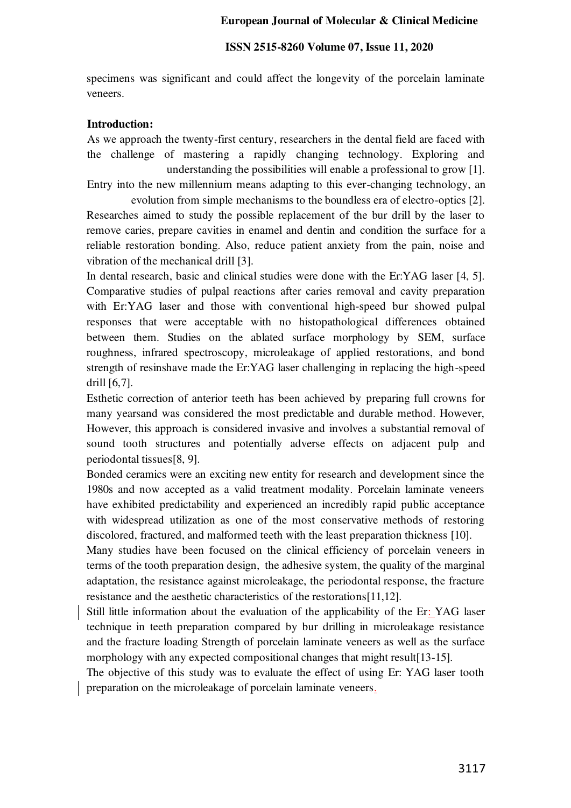#### **ISSN 2515-8260 Volume 07, Issue 11, 2020**

specimens was significant and could affect the longevity of the porcelain laminate veneers.

#### **Introduction:**

As we approach the twenty-first century, researchers in the dental field are faced with the challenge of mastering a rapidly changing technology. Exploring and understanding the possibilities will enable a professional to grow [1].

Entry into the new millennium means adapting to this ever-changing technology, an evolution from simple mechanisms to the boundless era of electro-optics [2].

Researches aimed to study the possible replacement of the bur drill by the laser to remove caries, prepare cavities in enamel and dentin and condition the surface for a reliable restoration bonding. Also, reduce patient anxiety from the pain, noise and vibration of the mechanical drill [3].

In dental research, basic and clinical studies were done with the Er:YAG laser [4, 5]. Comparative studies of pulpal reactions after caries removal and cavity preparation with Er:YAG laser and those with conventional high-speed bur showed pulpal responses that were acceptable with no histopathological differences obtained between them. Studies on the ablated surface morphology by SEM, surface roughness, infrared spectroscopy, microleakage of applied restorations, and bond strength of resinshave made the Er:YAG laser challenging in replacing the high-speed drill [6,7].

Esthetic correction of anterior teeth has been achieved by preparing full crowns for many yearsand was considered the most predictable and durable method. However, However, this approach is considered invasive and involves a substantial removal of sound tooth structures and potentially adverse effects on adjacent pulp and periodontal tissues[8, 9].

Bonded ceramics were an exciting new entity for research and development since the 1980s and now accepted as a valid treatment modality. Porcelain laminate veneers have exhibited predictability and experienced an incredibly rapid public acceptance with widespread utilization as one of the most conservative methods of restoring discolored, fractured, and malformed teeth with the least preparation thickness [10].

Many studies have been focused on the clinical efficiency of porcelain veneers in terms of the tooth preparation design, the adhesive system, the quality of the marginal adaptation, the resistance against microleakage, the periodontal response, the fracture resistance and the aesthetic characteristics of the restorations[11,12].

Still little information about the evaluation of the applicability of the Er: YAG laser technique in teeth preparation compared by bur drilling in microleakage resistance and the fracture loading Strength of porcelain laminate veneers as well as the surface morphology with any expected compositional changes that might result[13-15].

The objective of this study was to evaluate the effect of using Er: YAG laser tooth preparation on the microleakage of porcelain laminate veneers.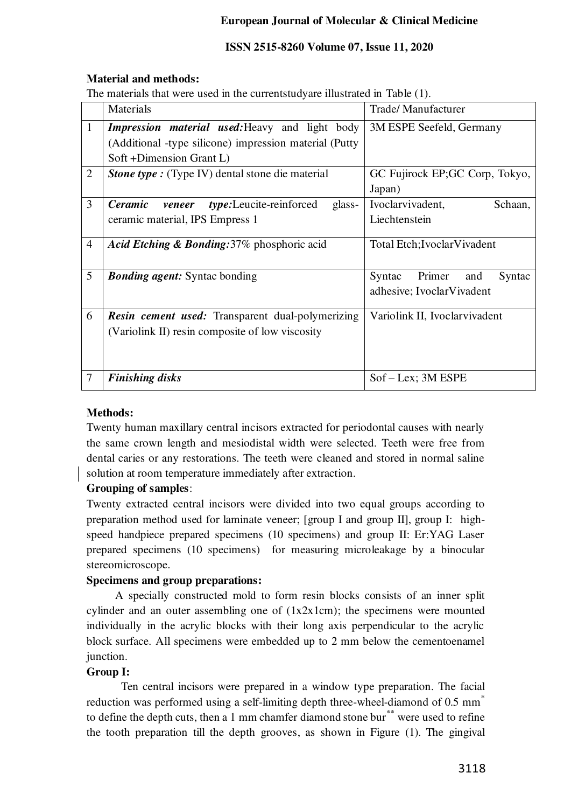# **ISSN 2515-8260 Volume 07, Issue 11, 2020**

# **Material and methods:**

The materials that were used in the currentstudyare illustrated in Table (1).

|                | Materials                                                     | <b>Trade/Manufacturer</b>         |  |  |
|----------------|---------------------------------------------------------------|-----------------------------------|--|--|
| $\mathbf{1}$   | <b>Impression material used: Heavy and light body</b>         | 3M ESPE Seefeld, Germany          |  |  |
|                | (Additional -type silicone) impression material (Putty        |                                   |  |  |
|                | Soft +Dimension Grant L)                                      |                                   |  |  |
| $\overline{2}$ | <b>Stone type :</b> (Type IV) dental stone die material       | GC Fujirock EP;GC Corp, Tokyo,    |  |  |
|                |                                                               | Japan)                            |  |  |
| 3              | <b>Ceramic</b><br>type:Leucite-reinforced<br>glass-<br>veneer | Ivoclarvivadent,<br>Schaan,       |  |  |
|                | ceramic material, IPS Empress 1                               | Liechtenstein                     |  |  |
|                |                                                               |                                   |  |  |
| $\overline{4}$ | Acid Etching & Bonding: 37% phosphoric acid                   | Total Etch; Ivoclar Vivadent      |  |  |
|                |                                                               |                                   |  |  |
| 5              | <b>Bonding agent:</b> Syntac bonding                          | Primer<br>Syntac<br>and<br>Syntac |  |  |
|                |                                                               | adhesive; IvoclarVivadent         |  |  |
| 6              | <b>Resin cement used:</b> Transparent dual-polymerizing       | Variolink II, Ivoclarvivadent     |  |  |
|                | (Variolink II) resin composite of low viscosity               |                                   |  |  |
|                |                                                               |                                   |  |  |
|                |                                                               |                                   |  |  |
| $\overline{7}$ | <b>Finishing disks</b>                                        | $Sof - Lex$ ; 3M ESPE             |  |  |
|                |                                                               |                                   |  |  |

# **Methods:**

Twenty human maxillary central incisors extracted for periodontal causes with nearly the same crown length and mesiodistal width were selected. Teeth were free from dental caries or any restorations. The teeth were cleaned and stored in normal saline solution at room temperature immediately after extraction.

# **Grouping of samples**:

Twenty extracted central incisors were divided into two equal groups according to preparation method used for laminate veneer; [group I and group II], group I: highspeed handpiece prepared specimens (10 specimens) and group II: Er:YAG Laser prepared specimens (10 specimens) for measuring microleakage by a binocular stereomicroscope.

# **Specimens and group preparations:**

 A specially constructed mold to form resin blocks consists of an inner split cylinder and an outer assembling one of (1x2x1cm); the specimens were mounted individually in the acrylic blocks with their long axis perpendicular to the acrylic block surface. All specimens were embedded up to 2 mm below the cementoenamel junction.

# **Group I:**

Ten central incisors were prepared in a window type preparation. The facial reduction was performed using a self-limiting depth three-wheel-diamond of 0.5 mm<sup>\*</sup> to define the depth cuts, then a 1 mm chamfer diamond stone bur<sup>\*\*</sup> were used to refine the tooth preparation till the depth grooves, as shown in Figure (1). The gingival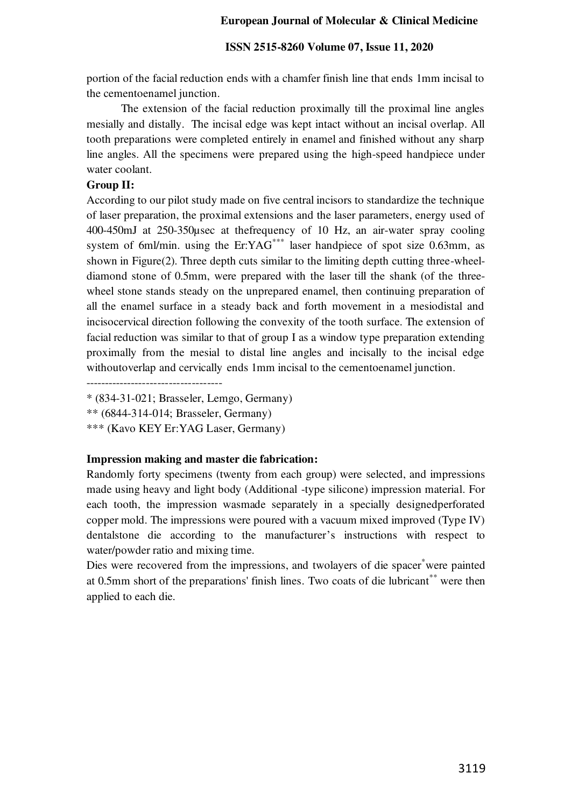#### **ISSN 2515-8260 Volume 07, Issue 11, 2020**

portion of the facial reduction ends with a chamfer finish line that ends 1mm incisal to the cementoenamel junction.

The extension of the facial reduction proximally till the proximal line angles mesially and distally. The incisal edge was kept intact without an incisal overlap. All tooth preparations were completed entirely in enamel and finished without any sharp line angles. All the specimens were prepared using the high-speed handpiece under water coolant.

## **Group II:**

According to our pilot study made on five central incisors to standardize the technique of laser preparation, the proximal extensions and the laser parameters, energy used of 400-450mJ at 250-350µsec at thefrequency of 10 Hz, an air-water spray cooling system of 6ml/min. using the  $Er:YAG$ <sup>\*\*\*</sup> laser handpiece of spot size 0.63mm, as shown in Figure(2). Three depth cuts similar to the limiting depth cutting three-wheeldiamond stone of 0.5mm, were prepared with the laser till the shank (of the threewheel stone stands steady on the unprepared enamel, then continuing preparation of all the enamel surface in a steady back and forth movement in a mesiodistal and incisocervical direction following the convexity of the tooth surface. The extension of facial reduction was similar to that of group I as a window type preparation extending proximally from the mesial to distal line angles and incisally to the incisal edge withoutoverlap and cervically ends 1mm incisal to the cementoenamel junction.

------------------------------------

\*\* (6844-314-014; Brasseler, Germany)

\*\*\* (Kavo KEY Er:YAG Laser, Germany)

#### **Impression making and master die fabrication:**

Randomly forty specimens (twenty from each group) were selected, and impressions made using heavy and light body (Additional -type silicone) impression material. For each tooth, the impression wasmade separately in a specially designedperforated copper mold. The impressions were poured with a vacuum mixed improved (Type IV) dentalstone die according to the manufacturer's instructions with respect to water/powder ratio and mixing time.

Dies were recovered from the impressions, and two layers of die spacer<sup>\*</sup>were painted at 0.5mm short of the preparations' finish lines. Two coats of die lubricant<sup>\*\*</sup> were then applied to each die.

<sup>\* (834-31-021;</sup> Brasseler, Lemgo, Germany)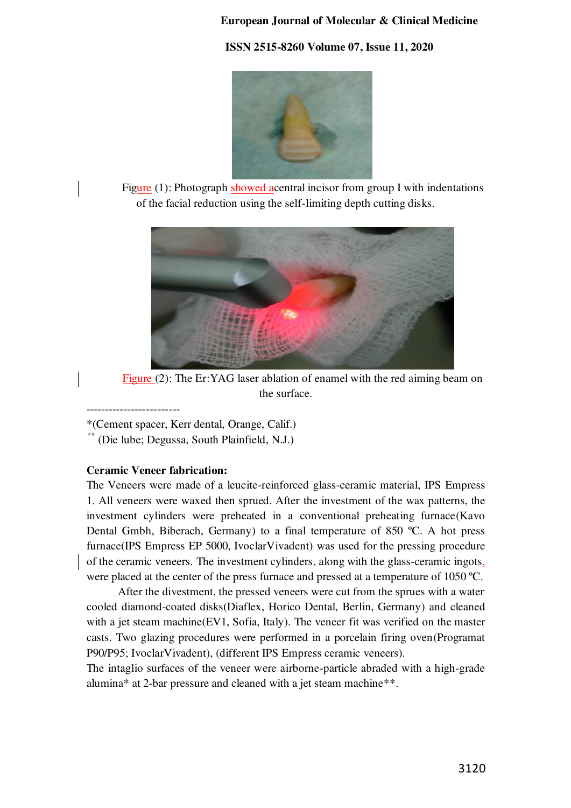**ISSN 2515-8260 Volume 07, Issue 11, 2020**



Figure  $(1)$ : Photograph showed acentral incisor from group I with indentations of the facial reduction using the self-limiting depth cutting disks.



Figure (2): The Er:YAG laser ablation of enamel with the red aiming beam on the surface.

-------------------------

\*(Cement spacer, Kerr dental, Orange, Calif.)

\*\* (Die lube; Degussa, South Plainfield, N.J.)

## **Ceramic Veneer fabrication:**

The Veneers were made of a leucite-reinforced glass-ceramic material, IPS Empress 1. All veneers were waxed then sprued. After the investment of the wax patterns, the investment cylinders were preheated in a conventional preheating furnace(Kavo Dental Gmbh, Biberach, Germany) to a final temperature of 850 ºC. A hot press furnace(IPS Empress EP 5000, IvoclarVivadent) was used for the pressing procedure of the ceramic veneers. The investment cylinders, along with the glass-ceramic ingots, were placed at the center of the press furnace and pressed at a temperature of 1050 °C.

 After the divestment, the pressed veneers were cut from the sprues with a water cooled diamond-coated disks(Diaflex, Horico Dental, Berlin, Germany) and cleaned with a jet steam machine(EV1, Sofia, Italy). The veneer fit was verified on the master casts. Two glazing procedures were performed in a porcelain firing oven(Programat P90/P95; IvoclarVivadent), (different IPS Empress ceramic veneers).

The intaglio surfaces of the veneer were airborne-particle abraded with a high-grade alumina\* at 2-bar pressure and cleaned with a jet steam machine\*\*.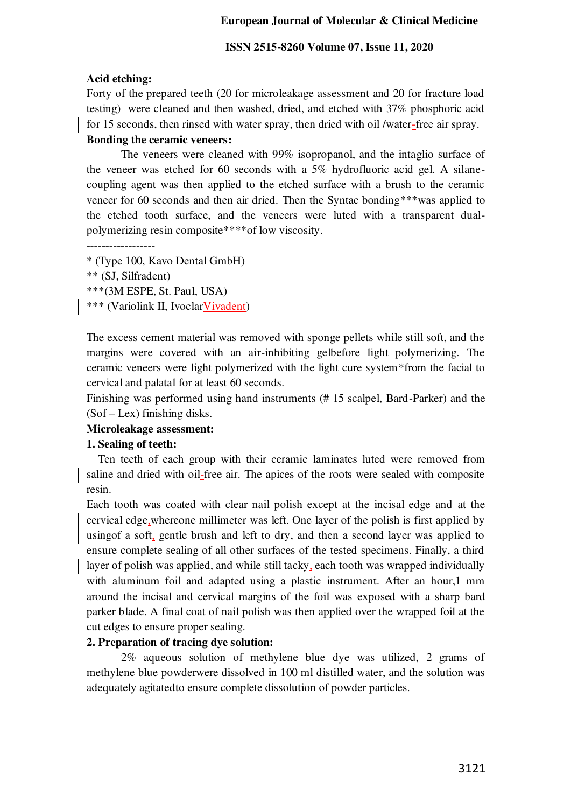#### **ISSN 2515-8260 Volume 07, Issue 11, 2020**

#### **Acid etching:**

Forty of the prepared teeth (20 for microleakage assessment and 20 for fracture load testing) were cleaned and then washed, dried, and etched with 37% phosphoric acid for 15 seconds, then rinsed with water spray, then dried with oil /water-free air spray.

# **Bonding the ceramic veneers:**

 The veneers were cleaned with 99% isopropanol, and the intaglio surface of the veneer was etched for 60 seconds with a 5% hydrofluoric acid gel. A silanecoupling agent was then applied to the etched surface with a brush to the ceramic veneer for 60 seconds and then air dried. Then the Syntac bonding\*\*\*was applied to the etched tooth surface, and the veneers were luted with a transparent dualpolymerizing resin composite\*\*\*\*of low viscosity.

```
------------------
```
- \* (Type 100, Kavo Dental GmbH)
- \*\* (SJ, Silfradent)
- \*\*\*(3M ESPE, St. Paul, USA)
- \*\*\* (Variolink II, IvoclarVivadent)

The excess cement material was removed with sponge pellets while still soft, and the margins were covered with an air-inhibiting gelbefore light polymerizing. The ceramic veneers were light polymerized with the light cure system\*from the facial to cervical and palatal for at least 60 seconds.

Finishing was performed using hand instruments (# 15 scalpel, Bard-Parker) and the (Sof – Lex) finishing disks.

# **Microleakage assessment:**

## **1. Sealing of teeth:**

 Ten teeth of each group with their ceramic laminates luted were removed from saline and dried with oil-free air. The apices of the roots were sealed with composite resin.

Each tooth was coated with clear nail polish except at the incisal edge and at the cervical edge,whereone millimeter was left. One layer of the polish is first applied by using of a soft, gentle brush and left to dry, and then a second layer was applied to ensure complete sealing of all other surfaces of the tested specimens. Finally, a third layer of polish was applied, and while still tacky, each tooth was wrapped individually with aluminum foil and adapted using a plastic instrument. After an hour,1 mm around the incisal and cervical margins of the foil was exposed with a sharp bard parker blade. A final coat of nail polish was then applied over the wrapped foil at the cut edges to ensure proper sealing.

#### **2. Preparation of tracing dye solution:**

2% aqueous solution of methylene blue dye was utilized, 2 grams of methylene blue powderwere dissolved in 100 ml distilled water, and the solution was adequately agitatedto ensure complete dissolution of powder particles.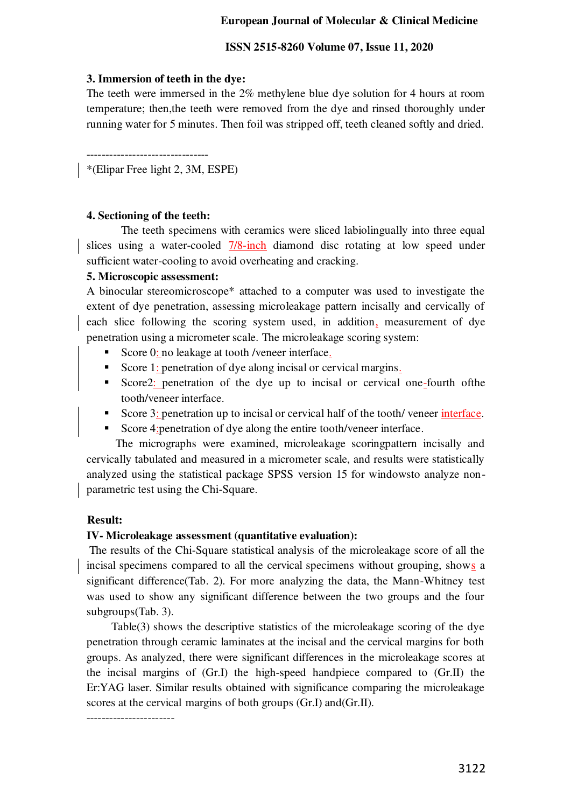#### **ISSN 2515-8260 Volume 07, Issue 11, 2020**

## **3. Immersion of teeth in the dye:**

The teeth were immersed in the 2% methylene blue dye solution for 4 hours at room temperature; then,the teeth were removed from the dye and rinsed thoroughly under running water for 5 minutes. Then foil was stripped off, teeth cleaned softly and dried.

-------------------------------- \*(Elipar Free light 2, 3M, ESPE)

## **4. Sectioning of the teeth:**

The teeth specimens with ceramics were sliced labiolingually into three equal slices using a water-cooled 7/8-inch diamond disc rotating at low speed under sufficient water-cooling to avoid overheating and cracking.

## **5. Microscopic assessment:**

A binocular stereomicroscope\* attached to a computer was used to investigate the extent of dye penetration, assessing microleakage pattern incisally and cervically of each slice following the scoring system used, in addition, measurement of dye penetration using a micrometer scale. The microleakage scoring system:

- Score 0: no leakage at tooth /veneer interface.
- Score 1: penetration of dye along incisal or cervical margins.
- Score2: penetration of the dye up to incisal or cervical one-fourth of the tooth/veneer interface.
- Score 3: penetration up to incisal or cervical half of the tooth/ veneer interface.
- Score 4: penetration of dye along the entire tooth/veneer interface.

 The micrographs were examined, microleakage scoringpattern incisally and cervically tabulated and measured in a micrometer scale, and results were statistically analyzed using the statistical package SPSS version 15 for windowsto analyze nonparametric test using the Chi-Square.

# **Result:**

#### **IV- Microleakage assessment (quantitative evaluation):**

 The results of the Chi-Square statistical analysis of the microleakage score of all the incisal specimens compared to all the cervical specimens without grouping, shows a significant difference(Tab. 2). For more analyzing the data, the Mann-Whitney test was used to show any significant difference between the two groups and the four subgroups(Tab. 3).

 Table(3) shows the descriptive statistics of the microleakage scoring of the dye penetration through ceramic laminates at the incisal and the cervical margins for both groups. As analyzed, there were significant differences in the microleakage scores at the incisal margins of (Gr.I) the high-speed handpiece compared to (Gr.II) the Er:YAG laser. Similar results obtained with significance comparing the microleakage scores at the cervical margins of both groups (Gr.I) and(Gr.II).

-----------------------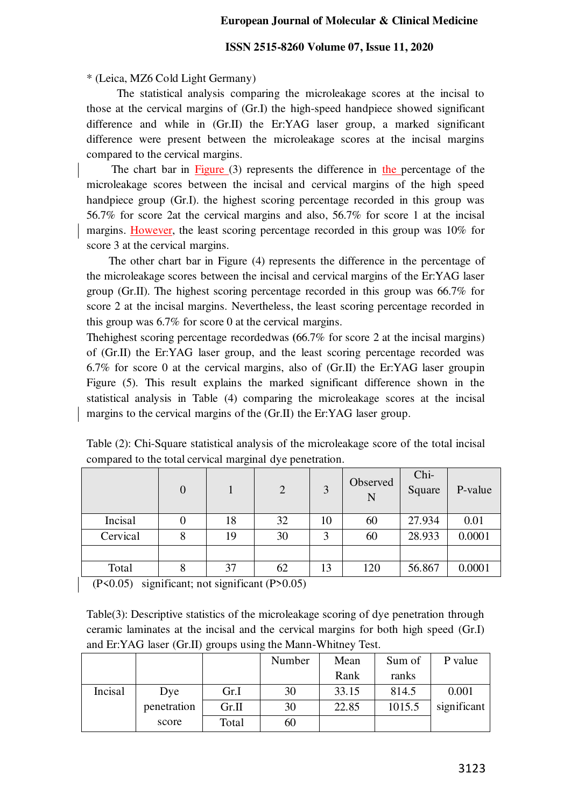#### **ISSN 2515-8260 Volume 07, Issue 11, 2020**

#### \* (Leica, MZ6 Cold Light Germany)

 The statistical analysis comparing the microleakage scores at the incisal to those at the cervical margins of (Gr.I) the high-speed handpiece showed significant difference and while in (Gr.II) the Er:YAG laser group, a marked significant difference were present between the microleakage scores at the incisal margins compared to the cervical margins.

The chart bar in  $Figure (3)$  represents the difference in the percentage of the microleakage scores between the incisal and cervical margins of the high speed handpiece group (Gr.I). the highest scoring percentage recorded in this group was 56.7% for score 2at the cervical margins and also, 56.7% for score 1 at the incisal margins. However, the least scoring percentage recorded in this group was 10% for score 3 at the cervical margins.

 The other chart bar in Figure (4) represents the difference in the percentage of the microleakage scores between the incisal and cervical margins of the Er:YAG laser group (Gr.II). The highest scoring percentage recorded in this group was 66.7% for score 2 at the incisal margins. Nevertheless, the least scoring percentage recorded in this group was 6.7% for score 0 at the cervical margins.

Thehighest scoring percentage recordedwas **(**66.7% for score 2 at the incisal margins) of (Gr.II) the Er:YAG laser group, and the least scoring percentage recorded was 6.7% for score 0 at the cervical margins, also of (Gr.II) the Er:YAG laser groupin Figure (5). This result explains the marked significant difference shown in the statistical analysis in Table (4) comparing the microleakage scores at the incisal margins to the cervical margins of the (Gr.II) the Er:YAG laser group.

|          | $\overline{0}$ |    | 2  | 3  | Observed<br>N | Chi-<br>Square | P-value |
|----------|----------------|----|----|----|---------------|----------------|---------|
| Incisal  |                | 18 | 32 | 10 | 60            | 27.934         | 0.01    |
| Cervical | 8              | 19 | 30 | 3  | 60            | 28.933         | 0.0001  |
|          |                |    |    |    |               |                |         |
| Total    | 8              | 37 | 62 | 13 | 120           | 56.867         | 0.0001  |

Table (2): Chi-Square statistical analysis of the microleakage score of the total incisal compared to the total cervical marginal dye penetration.

 $(P<0.05)$  significant; not significant  $(P>0.05)$ 

Table(3): Descriptive statistics of the microleakage scoring of dye penetration through ceramic laminates at the incisal and the cervical margins for both high speed (Gr.I) and Er:YAG laser (Gr.II) groups using the Mann-Whitney Test.

|         |             |       | Number | Mean  | Sum of | P value     |
|---------|-------------|-------|--------|-------|--------|-------------|
|         |             |       |        | Rank  | ranks  |             |
| Incisal | Dye         | Gr.I  | 30     | 33.15 | 814.5  | 0.001       |
|         | penetration | Gr.II | 30     | 22.85 | 1015.5 | significant |
|         | score       | Total | 60     |       |        |             |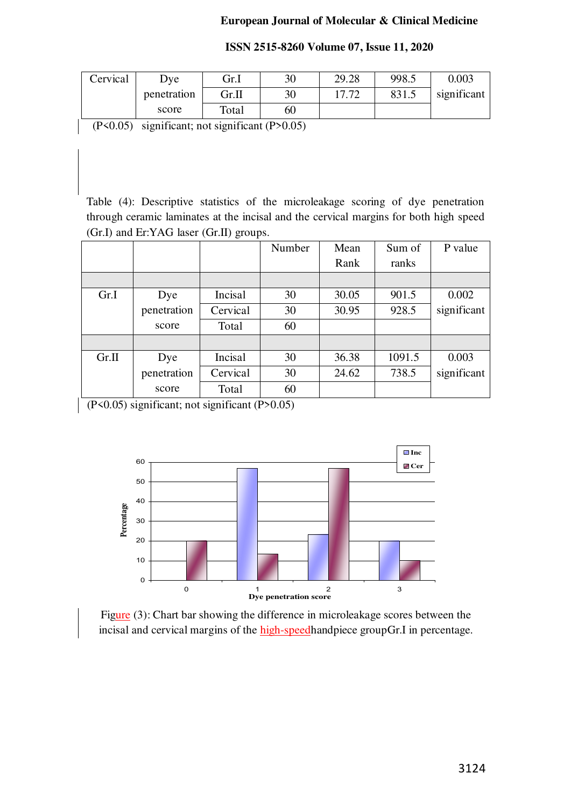| ISSN 2515-8260 Volume 07, Issue 11, 2020 |
|------------------------------------------|
|------------------------------------------|

| Cervical | Dve .       | Gr.I  | 30 | 29.28 | 998.5 | 0.003       |
|----------|-------------|-------|----|-------|-------|-------------|
|          | penetration | Gr.II | 30 | רד דו | 831.5 | significant |
|          | score       | Total | 60 |       |       |             |

(P<0.05) significant; not significant (P>0.05)

Table (4): Descriptive statistics of the microleakage scoring of dye penetration through ceramic laminates at the incisal and the cervical margins for both high speed (Gr.I) and Er:YAG laser (Gr.II) groups.

|       |             |          | Number | Mean  | Sum of | P value     |
|-------|-------------|----------|--------|-------|--------|-------------|
|       |             |          |        | Rank  | ranks  |             |
|       |             |          |        |       |        |             |
| Gr.I  | Dye         | Incisal  | 30     | 30.05 | 901.5  | 0.002       |
|       | penetration | Cervical | 30     | 30.95 | 928.5  | significant |
|       | score       | Total    | 60     |       |        |             |
|       |             |          |        |       |        |             |
| Gr.II | Dye         | Incisal  | 30     | 36.38 | 1091.5 | 0.003       |
|       | penetration | Cervical | 30     | 24.62 | 738.5  | significant |
|       | score       | Total    | 60     |       |        |             |

(P<0.05) significant; not significant (P>0.05)



Figure (3): Chart bar showing the difference in microleakage scores between the incisal and cervical margins of the high-speedhandpiece groupGr.I in percentage.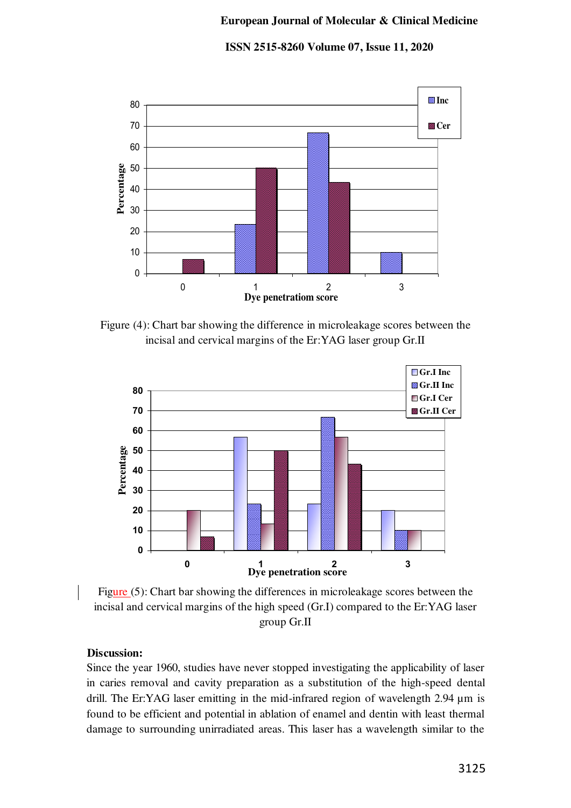**ISSN 2515-8260 Volume 07, Issue 11, 2020**



Figure (4): Chart bar showing the difference in microleakage scores between the incisal and cervical margins of the Er:YAG laser group Gr.II



Figure (5): Chart bar showing the differences in microleakage scores between the incisal and cervical margins of the high speed (Gr.I) compared to the Er:YAG laser group Gr.II

## **Discussion:**

Since the year 1960, studies have never stopped investigating the applicability of laser in caries removal and cavity preparation as a substitution of the high-speed dental drill. The Er:YAG laser emitting in the mid-infrared region of wavelength 2.94  $\mu$ m is found to be efficient and potential in ablation of enamel and dentin with least thermal damage to surrounding unirradiated areas. This laser has a wavelength similar to the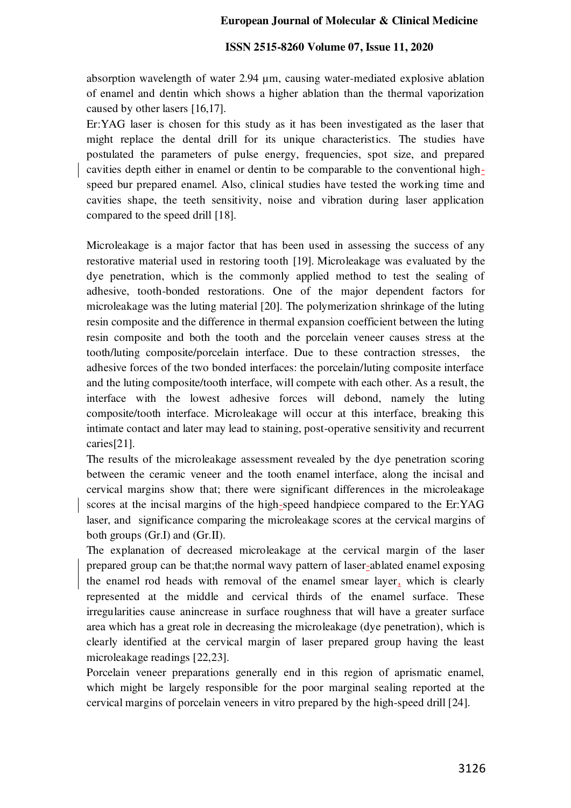#### **ISSN 2515-8260 Volume 07, Issue 11, 2020**

absorption wavelength of water 2.94 µm, causing water-mediated explosive ablation of enamel and dentin which shows a higher ablation than the thermal vaporization caused by other lasers [16,17].

Er:YAG laser is chosen for this study as it has been investigated as the laser that might replace the dental drill for its unique characteristics. The studies have postulated the parameters of pulse energy, frequencies, spot size, and prepared cavities depth either in enamel or dentin to be comparable to the conventional highspeed bur prepared enamel. Also, clinical studies have tested the working time and cavities shape, the teeth sensitivity, noise and vibration during laser application compared to the speed drill [18].

Microleakage is a major factor that has been used in assessing the success of any restorative material used in restoring tooth [19]. Microleakage was evaluated by the dye penetration, which is the commonly applied method to test the sealing of adhesive, tooth-bonded restorations. One of the major dependent factors for microleakage was the luting material [20]. The polymerization shrinkage of the luting resin composite and the difference in thermal expansion coefficient between the luting resin composite and both the tooth and the porcelain veneer causes stress at the tooth/luting composite/porcelain interface. Due to these contraction stresses, the adhesive forces of the two bonded interfaces: the porcelain/luting composite interface and the luting composite/tooth interface, will compete with each other. As a result, the interface with the lowest adhesive forces will debond, namely the luting composite/tooth interface. Microleakage will occur at this interface, breaking this intimate contact and later may lead to staining, post-operative sensitivity and recurrent caries[21].

The results of the microleakage assessment revealed by the dye penetration scoring between the ceramic veneer and the tooth enamel interface, along the incisal and cervical margins show that; there were significant differences in the microleakage scores at the incisal margins of the high-speed handpiece compared to the Er:YAG laser, and significance comparing the microleakage scores at the cervical margins of both groups (Gr.I) and (Gr.II).

The explanation of decreased microleakage at the cervical margin of the laser prepared group can be that;the normal wavy pattern of laser-ablated enamel exposing the enamel rod heads with removal of the enamel smear layer, which is clearly represented at the middle and cervical thirds of the enamel surface. These irregularities cause anincrease in surface roughness that will have a greater surface area which has a great role in decreasing the microleakage (dye penetration), which is clearly identified at the cervical margin of laser prepared group having the least microleakage readings [22,23].

Porcelain veneer preparations generally end in this region of aprismatic enamel, which might be largely responsible for the poor marginal sealing reported at the cervical margins of porcelain veneers in vitro prepared by the high-speed drill [24].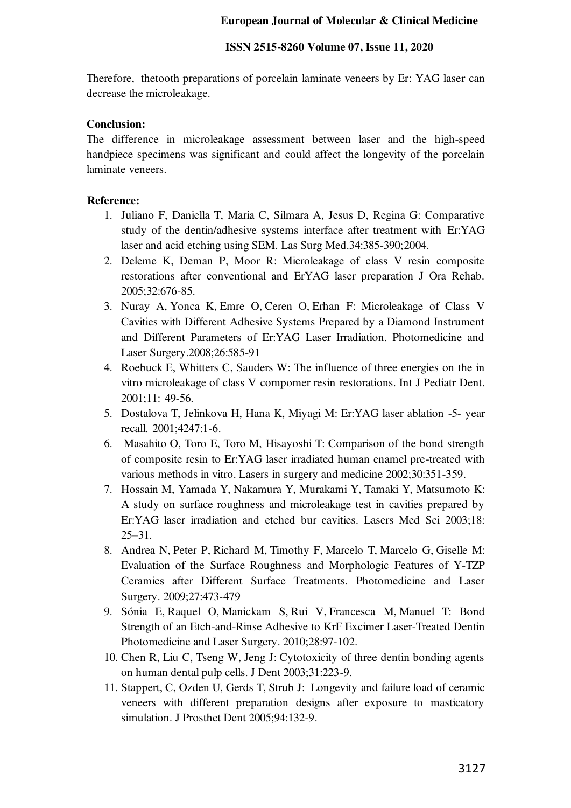#### **ISSN 2515-8260 Volume 07, Issue 11, 2020**

Therefore, thetooth preparations of porcelain laminate veneers by Er: YAG laser can decrease the microleakage.

## **Conclusion:**

The difference in microleakage assessment between laser and the high-speed handpiece specimens was significant and could affect the longevity of the porcelain laminate veneers.

## **Reference:**

- 1. Juliano F, Daniella T, Maria C, Silmara A, Jesus D, Regina G: Comparative study of the dentin/adhesive systems interface after treatment with Er:YAG laser and acid etching using SEM. Las Surg Med.34:385-390;2004.
- 2. Deleme K, Deman P, Moor R: Microleakage of class V resin composite restorations after conventional and ErYAG laser preparation J Ora Rehab. 2005;32:676-85.
- 3. Nuray A, Yonca K, Emre O, Ceren O, Erhan F: Microleakage of Class V Cavities with Different Adhesive Systems Prepared by a Diamond Instrument and Different Parameters of Er:YAG Laser Irradiation. Photomedicine and Laser Surgery.2008;26:585-91
- 4. Roebuck E, Whitters C, Sauders W: The influence of three energies on the in vitro microleakage of class V compomer resin restorations. Int J Pediatr Dent. 2001;11: 49-56.
- 5. Dostalova T, Jelinkova H, Hana K, Miyagi M: Er:YAG laser ablation -5- year recall. 2001;4247:1-6.
- 6. Masahito O, Toro E, Toro M, Hisayoshi T: Comparison of the bond strength of composite resin to Er:YAG laser irradiated human enamel pre-treated with various methods in vitro. Lasers in surgery and medicine 2002;30:351-359.
- 7. Hossain M, Yamada Y, Nakamura Y, Murakami Y, Tamaki Y, Matsumoto K: A study on surface roughness and microleakage test in cavities prepared by Er:YAG laser irradiation and etched bur cavities. Lasers Med Sci 2003;18: 25–31.
- 8. Andrea N, Peter P, Richard M, Timothy F, Marcelo T, Marcelo G, Giselle M: Evaluation of the Surface Roughness and Morphologic Features of Y-TZP Ceramics after Different Surface Treatments. Photomedicine and Laser Surgery. 2009;27:473-479
- 9. Sónia E, Raquel O, Manickam S, Rui V, Francesca M, Manuel T: Bond Strength of an Etch-and-Rinse Adhesive to KrF Excimer Laser-Treated Dentin Photomedicine and Laser Surgery. 2010;28:97-102.
- 10. Chen R, Liu C, Tseng W, Jeng J: Cytotoxicity of three dentin bonding agents on human dental pulp cells. J Dent 2003;31:223-9.
- 11. Stappert, C, Ozden U, Gerds T, Strub J: Longevity and failure load of ceramic veneers with different preparation designs after exposure to masticatory simulation. J Prosthet Dent 2005;94:132-9.